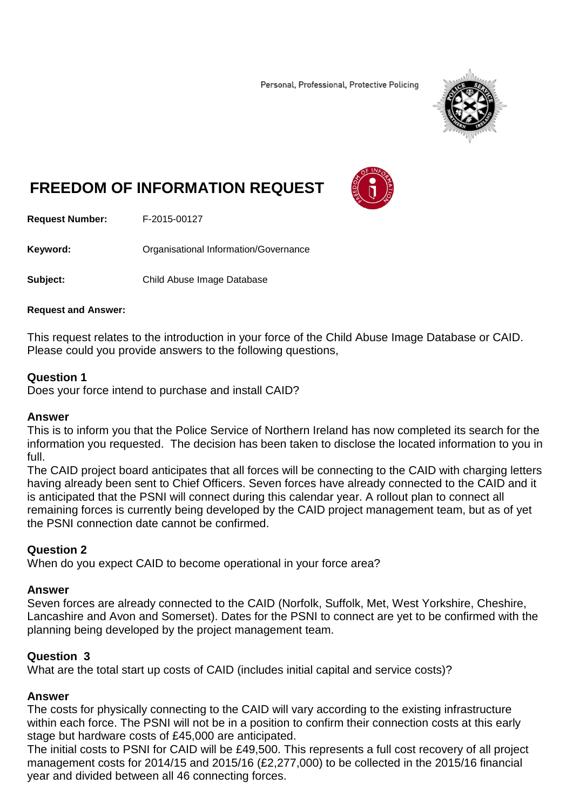Personal, Professional, Protective Policing



# **FREEDOM OF INFORMATION REQUEST**



**Request Number:** F-2015-00127

Keyword: **Communisational Information/Governance** 

**Subject:** Child Abuse Image Database

#### **Request and Answer:**

This request relates to the introduction in your force of the Child Abuse Image Database or CAID. Please could you provide answers to the following questions,

### **Question 1**

Does your force intend to purchase and install CAID?

#### **Answer**

This is to inform you that the Police Service of Northern Ireland has now completed its search for the information you requested. The decision has been taken to disclose the located information to you in full.

The CAID project board anticipates that all forces will be connecting to the CAID with charging letters having already been sent to Chief Officers. Seven forces have already connected to the CAID and it is anticipated that the PSNI will connect during this calendar year. A rollout plan to connect all remaining forces is currently being developed by the CAID project management team, but as of yet the PSNI connection date cannot be confirmed.

## **Question 2**

When do you expect CAID to become operational in your force area?

#### **Answer**

Seven forces are already connected to the CAID (Norfolk, Suffolk, Met, West Yorkshire, Cheshire, Lancashire and Avon and Somerset). Dates for the PSNI to connect are yet to be confirmed with the planning being developed by the project management team.

#### **Question 3**

What are the total start up costs of CAID (includes initial capital and service costs)?

#### **Answer**

The costs for physically connecting to the CAID will vary according to the existing infrastructure within each force. The PSNI will not be in a position to confirm their connection costs at this early stage but hardware costs of £45,000 are anticipated.

The initial costs to PSNI for CAID will be £49,500. This represents a full cost recovery of all project management costs for 2014/15 and 2015/16 (£2,277,000) to be collected in the 2015/16 financial year and divided between all 46 connecting forces.